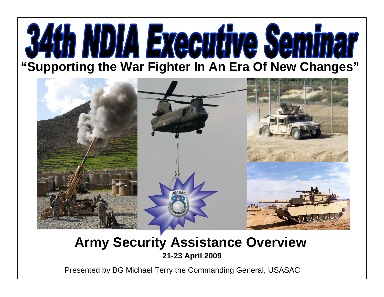# NDIA Executive Seminar **"Supporting the War Fighter In An Era Of New Changes"**



### **Army Security Assistance Overview 21-23 April 2009**

Presented by BG Michael Terry the Commanding General, USASAC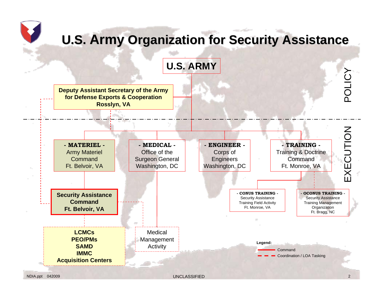# **U.S. Army Organization for Security Assistance**



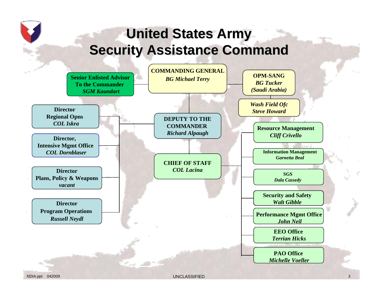# **United States Army United States Army Security Assistance Command**

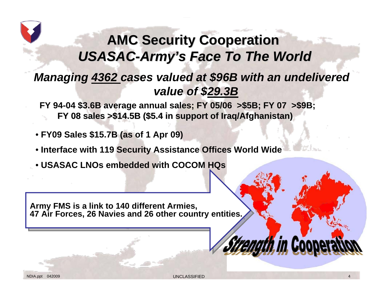# **AMC Security Cooperation AMC Security Cooperation** USASAC-Army's Face To The World

### *Managing 4362 cases valued at \$96B with an undelivered value of \$29.3B*

**FY 94-04 \$3.6B average annual sales; FY 05/06 >\$5B; FY 07 >\$9B; FY 08 sales >\$14.5B (\$5.4 in support of Iraq/Afghanistan) FY 08 sales >\$14.5B (\$5.4 in support of Iraq/Afghanistan)**

- **FY09 Sales \$15.7B (as of 1 Apr 09)**
- **Interface with 119 Security Assistance Offices World Wide**
- **USASAC LNOs embedded with COCOM HQs**

**Army FMS is a link to 140 different Armies, Army FMS is a link to 140 different Armies, 47 Air Forces, 26 Navies and 26 other country entities. 47 Air Forces, 26 Navies and 26 other country entities.**

*i in Coope*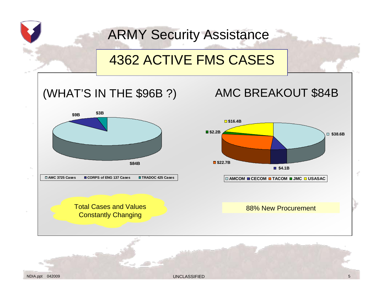# ARMY Security Assistance

# 4362 ACTIVE FMS CASES

### (WHAT'S IN THE \$96B ?)



Total Cases and Values Constantly Changing

### AMC BREAKOUT \$84B



**AMCOM CECOM TACOM JMC USASAC**

#### 88% New Procurement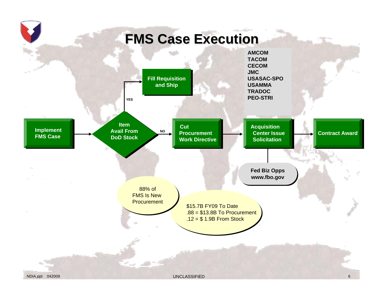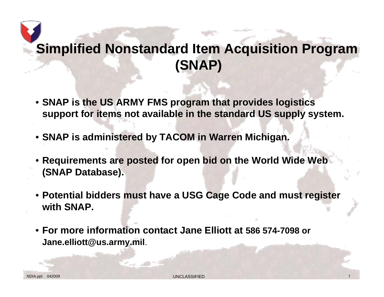# **Simplified Nonstandard Item Acquisition Program (SNAP)**

- **SNAP is the US ARMY FMS program that provides logistics support for items not available in the standard US supply system.**
- **SNAP is administered by TACOM in Warren Michigan.**
- **Requirements are posted for open bid on the World Wide Web (SNAP Database).**
- **Potential bidders must have a USG Cage Code and must register with SNAP.**
- **For more information contact Jane Elliott at 586 574-7098 or Jane.elliott@us.army.mil**.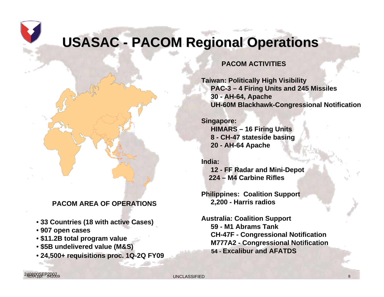# **USASAC - PACOM Regional Operations**

#### **PACOM ACTIVITIES**

**Taiwan: Politically High Visibility PAC-3 – 4 Firing Units and 245 Missiles 30 - AH-64, Apache UH-60M Blackhawk-Congressional Notification**

**Singapore: HIMARS – 16 Firing Units 8 - CH-47 stateside basing 20 - AH-64 Apache** 

**India:12 - FF Radar and Mini-Depot 224 – M4 Carbine Rifles**

**Philippines: Coalition Support 2,200 - Harris radios**

**Australia: Coalition Support 59 - M1 Abrams Tank CH-47F - Congressional Notification M777A2 - Congressional Notification 54 - Excalibur and AFATDS** 

#### **PACOM AREA OF OPERATIONS**

- **33 Countries (18 with active Cases)**
- **907 open cases**
- **\$11.2B total program value**
- **\$5B undelivered value (M&S)**
- **24,500+ requisitions proc. 1Q-2Q FY09**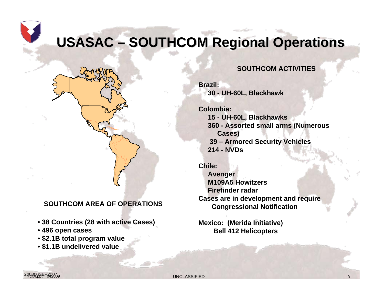**USASAC – SOUTHCOM Regional Operations** 

#### **SOUTHCOM ACTIVITIES**

**Brazil:30 - UH-60L, Blackhawk**

**Colombia:15 - UH-60L, Blackhawks 360 - Assorted small arms (Numerous Cases) 39 – Armored Security Vehicles 214 - NVDs** 

**Chile: Avenger M109A5 HowitzersFirefinder radarCases are in development and require Congressional Notification**

**Mexico: (Merida Initiative) Bell 412 Helicopters** 

#### **SOUTHCOM AREA OF OPERATIONS**

- **38 Countries (28 with active Cases)**
- **496 open cases**
- **\$2.1B total program value**
- **\$1.1B undelivered value**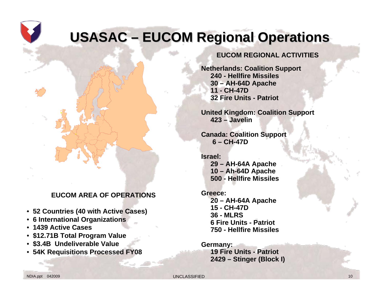# **USASAC – EUCOM Regional Operations**

#### **EUCOM AREA OF OPERATIONS**

- **52 Countries (40 with Active Cases)**
- **6 International Organizations**
- **1439 Active Cases**
- **\$12.71B Total Program Value**
- **\$3.4B Undeliverable Value**
- **54K Requisitions Processed FY08**

#### **EUCOM REGIONAL ACTIVITIES**

**Netherlands: Coalition Support 240 - Hellfire Missiles30 – AH-64D Apache 11 - CH-47D 32 Fire Units - Patriot**

**United Kingdom: Coalition Support 423 – Javelin**

**Canada: Coalition Support 6 – CH-47D**

**Israel: 29 – AH-64A Apache 10 – Ah-64D Apache 500 - Hellfire Missiles**

**Greece:20 – AH-64A Apache 15 - CH-47D36 - MLRS6 Fire Units - Patriot750 - Hellfire Missiles**

**Germany: 19 Fire Units - Patriot 2429 – Stinger (Block I)**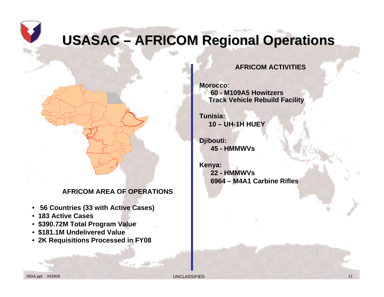# **USASAC – AFRICOM Regional Operations**

#### **AFRICOM AREA OF OPERATIONS**

- **56 Countries (33 with Active Cases)**
- **183 Active Cases**
- **\$390.72M Total Program Value**
- **\$181.1M Undelivered Value**
- **2K Requisitions Processed in FY08**

#### **AFRICOM ACTIVITIES**

**Morocco: 60 - M109A5 HowitzersTrack Vehicle Rebuild Facility** 

**Tunisia:10 – UH-1H HUEY** 

**Djibouti: 45 - HMMWVs**

**Kenya: 22 - HMMWVs6964 – M4A1 Carbine Rifles**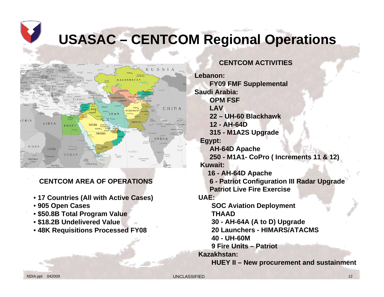# **USASAC – CENTCOM Regional Operations**



#### **CENTCOM AREA OF OPERATIONS**

- **17 Countries (All with Active Cases)**
- **905 Open Cases**
- **\$50.8B Total Program Value**
- **\$18.2B Undelivered Value**
- **48K Requisitions Processed FY08**

#### **CENTCOM ACTIVITIES**

**Lebanon:FY09 FMF Supplemental Saudi Arabia:OPM FSFLAV22 – UH-60 Blackhawk12 - AH-64D315 - M1A2S Upgrade Egypt: AH-64D Apache 250 - M1A1- CoPro ( Increments 11 & 12) Kuwait: 16 - AH-64D Apache 6 - Patriot Configuration III Radar Upgrade Patriot Live Fire Exercise UAE: SOC Aviation Deployment THAAD30 - AH-64A (A to D) Upgrade 20 Launchers - HIMARS/ATACMS 40 - UH-60M9 Fire Units – PatriotKazakhstan:HUEY II – New procurement and sustainment**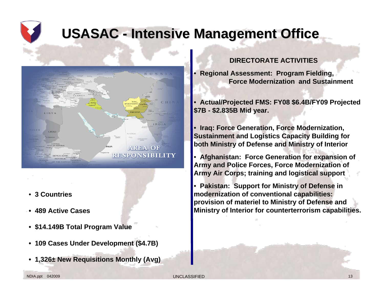# **USASAC - Intensive Management Office**



- **3 Countries**
- **489 Active Cases**
- **\$14.149B Total Program Value**
- **109 Cases Under Development (\$4.7B)**
- **1,326± New Requisitions Monthly (Avg)**

#### **DIRECTORATE ACTIVITIES**

• **Regional Assessment: Program Fielding, Force Modernization and Sustainment**

• **Actual/Projected FMS: FY08 \$6.4B/FY09 Projected \$7B - \$2.835B Mid year.** 

• **Iraq: Force Generation, Force Modernization, Sustainment and Logistics Capacity Building for both Ministry of Defense and Ministry of Interior**

• **Afghanistan: Force Generation for expansion of Army and Police Forces, Force Modernization of Army Air Corps; training and logistical support** 

• **Pakistan: Support for Ministry of Defense in modernization of conventional capabilities: provision of materiel to Ministry of Defense and Ministry of Interior for counterterrorism capabilities.**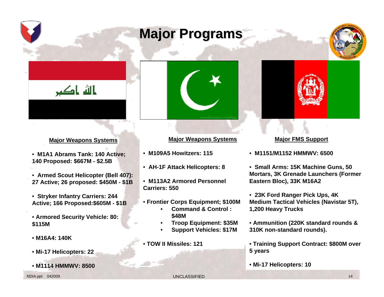# **Major Programs Major Programs**





#### **Major Weapons Systems**

- **M1A1 Abrams Tank: 140 Active; 140 Proposed: \$667M - \$2.5B**
- **Armed Scout Helicopter (Bell 407): 27 Active; 26 proposed: \$450M - \$1B**
- **Stryker Infantry Carriers: 244 Active; 166 Proposed:\$605M - \$1B**
- **Armored Security Vehicle: 80: \$115M**
- **M16A4: 140K**
- **Mi-17 Helicopters: 22**
- **M1114 HMMWV: 8500**



#### **Major Weapons Systems**

- **M109A5 Howitzers: 115**
- **AH-1F Attack Helicopters: 8**
- **M113A2 Armored Personnel Carriers: 550**
- **Frontier Corps Equipment; \$100M**
	- **Command & Control : \$48M**
	- **Troop Equipment: \$35M**
	- **Support Vehicles: \$17M**
- **TOW II Missiles: 121**

#### **Major FMS Support**

- **M1151/M1152 HMMWV: 6500**
- **Small Arms: 15K Machine Guns, 50 Mortars, 3K Grenade Launchers (Former Eastern Bloc), 33K M16A2**
- **23K Ford Ranger Pick Ups, 4K Medium Tactical Vehicles (Navistar 5T), 1,200 Heavy Trucks**
- **Ammunition (220K standard rounds & 310K non-standard rounds).**
- **Training Support Contract: \$800M over 5 years**
- **Mi-17 Helicopters: 10**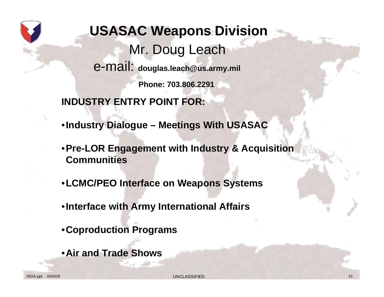

- **Industry Dialogue Meetings With USASAC**
- **Pre-LOR Engagement with Industry & Acquisition Communities**
- **LCMC/PEO Interface on Weapons Systems**
- **Interface with Army International Affairs**
- **Coproduction Programs**
- **Air and Trade Shows**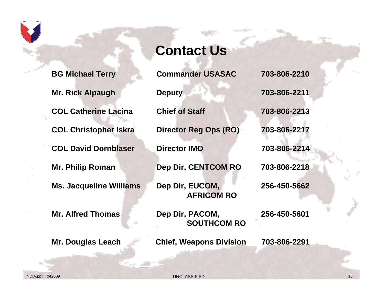**BG Michael Terry Commander USASAC 703-806-2210**

**Mr. Rick Alpaugh Deputy 103-806-2211** 

**COL Catherine Lacina Chief of Staff 703-806-2213** 

**COL David Dornblaser Director IMO 703-806-2214** 

**Ms. Jacqueline Williams Dep Dir, EUCOM, 256-450-5662**

# **Contact Us**

**COL Christopher Iskra Director Reg Ops (RO) 703-806-2217** 

**Mr. Philip Roman Dep Dir, CENTCOM RO 703-806-2218** 

**AFRICOM RO**

Mr. Alfred Thomas **Dep Dir, PACOM, 256-450-5601 SOUTHCOM RO**

**Mr. Douglas Leach Chief, Weapons Division 703-806-2291** 

NDIA.ppt 042009 UNCLASSIFIED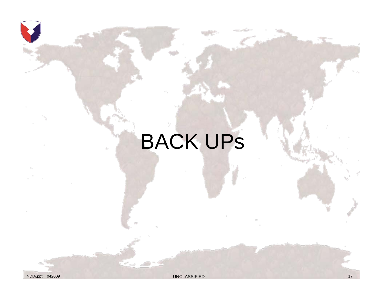# BACK UPs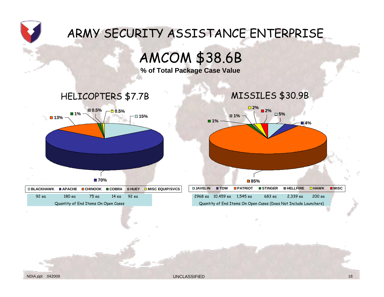

AMCOM \$38.6B

**% of Total Package Case Value**





| $\Box$ BLACKHAWK $\Box$ APACHE $\Box$ CHINOOK $\Box$ COBRA |         |       |       |           | <b>ENDEY DIMISC EQUIP/SVCS</b> |
|------------------------------------------------------------|---------|-------|-------|-----------|--------------------------------|
| 92 ea                                                      | 180 e.a | 75 ea | 14 ea | $92$ e.g. |                                |
| Quantity of End Items On Open Cases                        |         |       |       |           |                                |



Quantity of End Items On Open Cases (Does Not Include Launchers)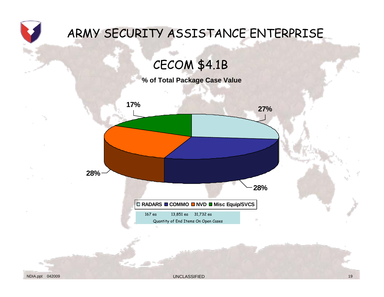

CECOM \$4.1B

**% of Total Package Case Value**

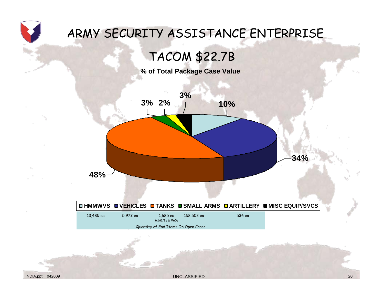

## TACOM \$22.7B

**% of Total Package Case Value**

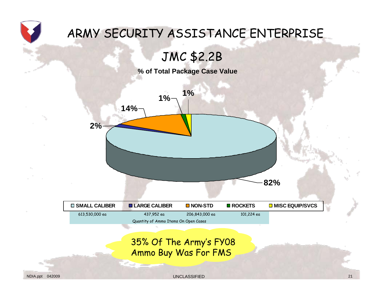

### JMC \$2.2B

**% of Total Package Case Value**



#### 35% Of The Army's FY08 Ammo Buy Was For FMS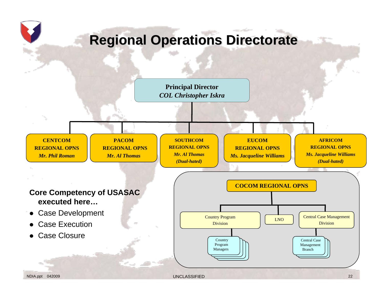